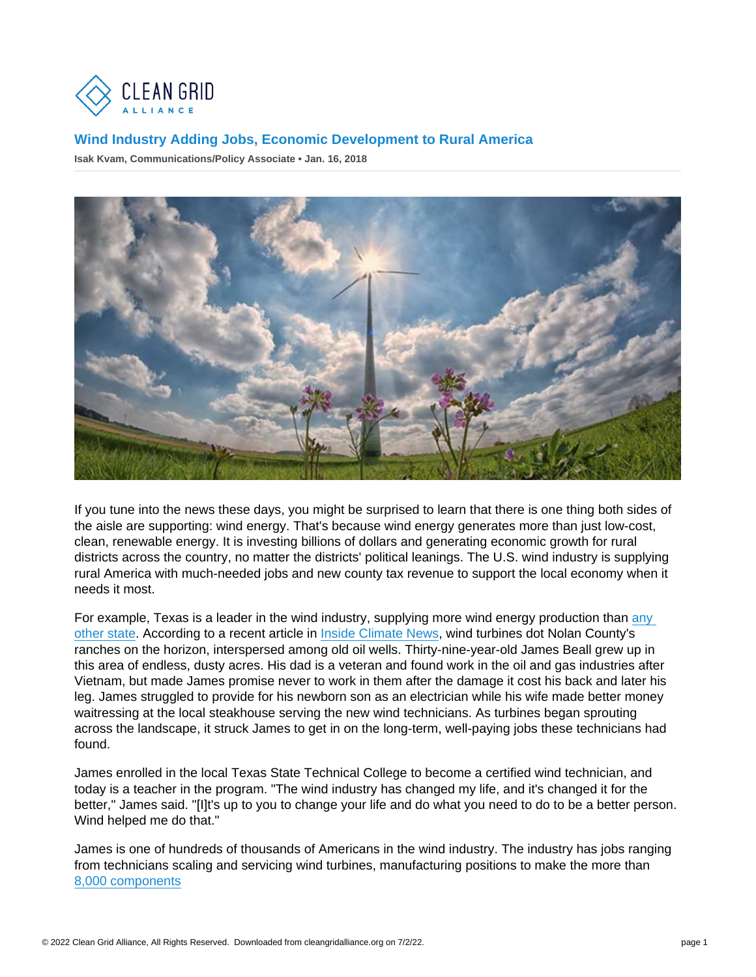If you tune into the news these days, you might be surprised to learn that there is one thing both sides of the aisle are supporting: wind energy. That's because wind energy generates more than just low-cost, clean, renewable energy. It is investing billions of dollars and generating economic growth for rural districts across the country, no matter the districts' political leanings. The U.S. wind industry is supplying rural America with much-needed jobs and new county tax revenue to support the local economy when it needs it most.

For example, Texas is a leader in the wind industry, supplying more wind energy production than [any](http://awea.files.cms-plus.com/FileDownloads/pdfs/Texas.pdf)  [other state.](http://awea.files.cms-plus.com/FileDownloads/pdfs/Texas.pdf) According to a recent article in [Inside Climate News,](https://insideclimatenews.org/news/26122017/wind-energy-jobs-booming-texas-clean-renewable-power-climate-change) wind turbines dot Nolan County's ranches on the horizon, interspersed among old oil wells. Thirty-nine-year-old James Beall grew up in this area of endless, dusty acres. His dad is a veteran and found work in the oil and gas industries after Vietnam, but made James promise never to work in them after the damage it cost his back and later his leg. James struggled to provide for his newborn son as an electrician while his wife made better money waitressing at the local steakhouse serving the new wind technicians. As turbines began sprouting across the landscape, it struck James to get in on the long-term, well-paying jobs these technicians had found.

James enrolled in the local Texas State Technical College to become a certified wind technician, and today is a teacher in the program. "The wind industry has changed my life, and it's changed it for the better," James said. "[I]t's up to you to change your life and do what you need to do to be a better person. Wind helped me do that."

James is one of hundreds of thousands of Americans in the wind industry. The industry has jobs ranging from technicians scaling and servicing wind turbines, manufacturing positions to make the more than [8,000 components](https://www.awea.org/manufacturing)